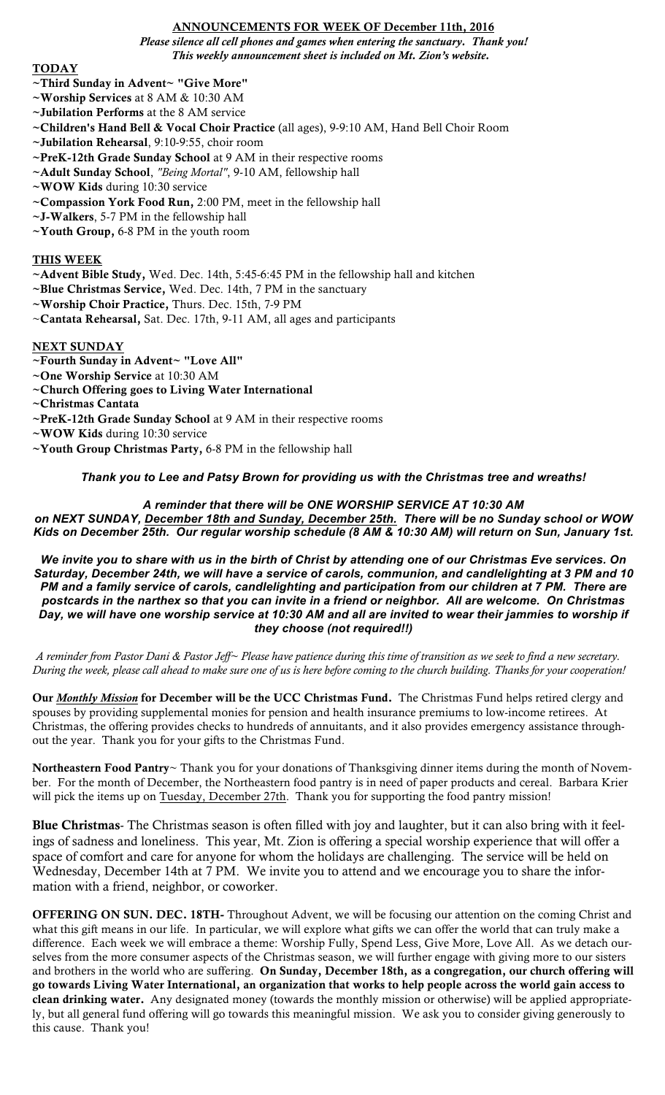### ANNOUNCEMENTS FOR WEEK OF December 11th, 2016

*Please silence all cell phones and games when entering the sanctuary. Thank you! This weekly announcement sheet is included on Mt. Zion's website.*

### TODAY

## ~Third Sunday in Advent~ "Give More"

- ~Worship Services at 8 AM & 10:30 AM
- ~Jubilation Performs at the 8 AM service
- ~Children's Hand Bell & Vocal Choir Practice (all ages), 9-9:10 AM, Hand Bell Choir Room
- ~Jubilation Rehearsal, 9:10-9:55, choir room
- ~PreK-12th Grade Sunday School at 9 AM in their respective rooms
- ~Adult Sunday School, *"Being Mortal"*, 9-10 AM, fellowship hall
- ~WOW Kids during 10:30 service
- ~Compassion York Food Run, 2:00 PM, meet in the fellowship hall
- ~J-Walkers, 5-7 PM in the fellowship hall
- ~Youth Group, 6-8 PM in the youth room

## THIS WEEK

- ~Advent Bible Study, Wed. Dec. 14th, 5:45-6:45 PM in the fellowship hall and kitchen
- ~Blue Christmas Service, Wed. Dec. 14th, 7 PM in the sanctuary
- ~Worship Choir Practice, Thurs. Dec. 15th, 7-9 PM
- ~Cantata Rehearsal, Sat. Dec. 17th, 9-11 AM, all ages and participants

## NEXT SUNDAY

- ~Fourth Sunday in Advent~ "Love All"
- ~One Worship Service at 10:30 AM
- ~Church Offering goes to Living Water International
- ~Christmas Cantata
- ~PreK-12th Grade Sunday School at 9 AM in their respective rooms
- ~WOW Kids during 10:30 service
- ~Youth Group Christmas Party, 6-8 PM in the fellowship hall

# *Thank you to Lee and Patsy Brown for providing us with the Christmas tree and wreaths!*

# *A reminder that there will be ONE WORSHIP SERVICE AT 10:30 AM*

*on NEXT SUNDAY, December 18th and Sunday, December 25th. There will be no Sunday school or WOW Kids on December 25th. Our regular worship schedule (8 AM & 10:30 AM) will return on Sun, January 1st.*

*We invite you to share with us in the birth of Christ by attending one of our Christmas Eve services. On Saturday, December 24th, we will have a service of carols, communion, and candlelighting at 3 PM and 10 PM and a family service of carols, candlelighting and participation from our children at 7 PM. There are postcards in the narthex so that you can invite in a friend or neighbor. All are welcome. On Christmas Day, we will have one worship service at 10:30 AM and all are invited to wear their jammies to worship if they choose (not required!!)*

*A reminder from Pastor Dani & Pastor Jeff~ Please have patience during this time of transition as we seek to find a new secretary. During the week, please call ahead to make sure one of us is here before coming to the church building. Thanks for your cooperation!*

Our *Monthly Mission* for December will be the UCC Christmas Fund. The Christmas Fund helps retired clergy and spouses by providing supplemental monies for pension and health insurance premiums to low-income retirees. At Christmas, the offering provides checks to hundreds of annuitants, and it also provides emergency assistance throughout the year. Thank you for your gifts to the Christmas Fund.

Northeastern Food Pantry~ Thank you for your donations of Thanksgiving dinner items during the month of November. For the month of December, the Northeastern food pantry is in need of paper products and cereal. Barbara Krier will pick the items up on Tuesday, December 27th. Thank you for supporting the food pantry mission!

Blue Christmas- The Christmas season is often filled with joy and laughter, but it can also bring with it feelings of sadness and loneliness. This year, Mt. Zion is offering a special worship experience that will offer a space of comfort and care for anyone for whom the holidays are challenging. The service will be held on Wednesday, December 14th at 7 PM. We invite you to attend and we encourage you to share the information with a friend, neighbor, or coworker.

OFFERING ON SUN. DEC. 18TH- Throughout Advent, we will be focusing our attention on the coming Christ and what this gift means in our life. In particular, we will explore what gifts we can offer the world that can truly make a difference. Each week we will embrace a theme: Worship Fully, Spend Less, Give More, Love All. As we detach ourselves from the more consumer aspects of the Christmas season, we will further engage with giving more to our sisters and brothers in the world who are suffering. On Sunday, December 18th, as a congregation, our church offering will go towards Living Water International, an organization that works to help people across the world gain access to clean drinking water. Any designated money (towards the monthly mission or otherwise) will be applied appropriately, but all general fund offering will go towards this meaningful mission. We ask you to consider giving generously to this cause. Thank you!